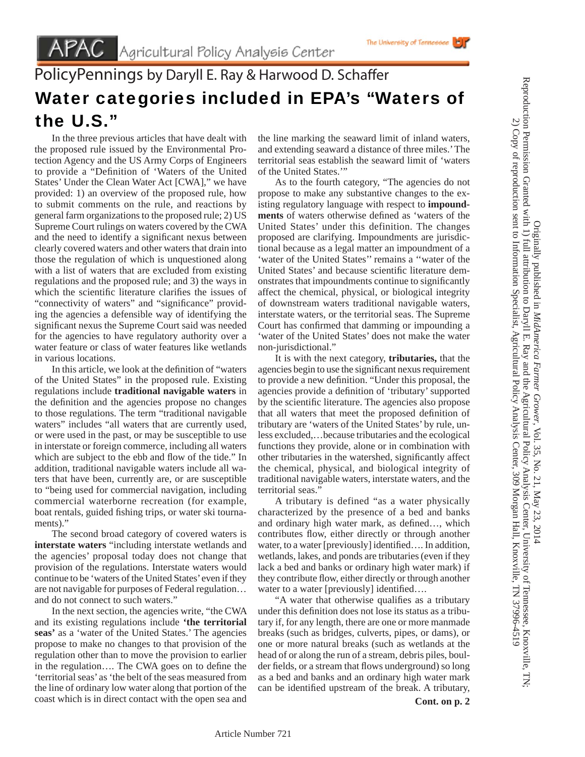## PolicyPennings by Daryll E. Ray & Harwood D. Schaffer Water categories included in EPA's "Waters of the U.S."

 In the three previous articles that have dealt with the proposed rule issued by the Environmental Protection Agency and the US Army Corps of Engineers to provide a "Definition of 'Waters of the United States' Under the Clean Water Act [CWA]," we have provided: 1) an overview of the proposed rule, how to submit comments on the rule, and reactions by general farm organizations to the proposed rule; 2) US Supreme Court rulings on waters covered by the CWA and the need to identify a significant nexus between clearly covered waters and other waters that drain into those the regulation of which is unquestioned along with a list of waters that are excluded from existing regulations and the proposed rule; and 3) the ways in which the scientific literature clarifies the issues of "connectivity of waters" and "significance" providing the agencies a defensible way of identifying the significant nexus the Supreme Court said was needed for the agencies to have regulatory authority over a water feature or class of water features like wetlands in various locations.

In this article, we look at the definition of "waters" of the United States" in the proposed rule. Existing regulations include **traditional navigable waters** in the definition and the agencies propose no changes to those regulations. The term "traditional navigable waters" includes "all waters that are currently used, or were used in the past, or may be susceptible to use in interstate or foreign commerce, including all waters which are subject to the ebb and flow of the tide." In addition, traditional navigable waters include all waters that have been, currently are, or are susceptible to "being used for commercial navigation, including commercial waterborne recreation (for example, boat rentals, guided fishing trips, or water ski tournaments)."

 The second broad category of covered waters is **interstate waters** "including interstate wetlands and the agencies' proposal today does not change that provision of the regulations. Interstate waters would continue to be 'waters of the United States' even if they are not navigable for purposes of Federal regulation… and do not connect to such waters."

 In the next section, the agencies write, "the CWA and its existing regulations include **'the territorial seas'** as a 'water of the United States.' The agencies propose to make no changes to that provision of the regulation other than to move the provision to earlier in the regulation.... The CWA goes on to define the 'territorial seas' as 'the belt of the seas measured from the line of ordinary low water along that portion of the coast which is in direct contact with the open sea and

the line marking the seaward limit of inland waters, and extending seaward a distance of three miles.' The territorial seas establish the seaward limit of 'waters of the United States.'"

 As to the fourth category, "The agencies do not propose to make any substantive changes to the existing regulatory language with respect to **impound**ments of waters otherwise defined as 'waters of the United States' under this definition. The changes proposed are clarifying. Impoundments are jurisdictional because as a legal matter an impoundment of a 'water of the United States'' remains a ''water of the United States' and because scientific literature demonstrates that impoundments continue to significantly affect the chemical, physical, or biological integrity of downstream waters traditional navigable waters, interstate waters, or the territorial seas. The Supreme Court has confirmed that damming or impounding a 'water of the United States' does not make the water non-jurisdictional."

 It is with the next category, **tributaries,** that the agencies begin to use the significant nexus requirement to provide a new definition. "Under this proposal, the agencies provide a definition of 'tributary' supported by the scientific literature. The agencies also propose that all waters that meet the proposed definition of tributary are 'waters of the United States' by rule, unless excluded,…because tributaries and the ecological functions they provide, alone or in combination with other tributaries in the watershed, significantly affect the chemical, physical, and biological integrity of traditional navigable waters, interstate waters, and the territorial seas."

 A tributary is defined "as a water physically characterized by the presence of a bed and banks and ordinary high water mark, as defined..., which contributes flow, either directly or through another water, to a water [previously] identified.... In addition, wetlands, lakes, and ponds are tributaries (even if they lack a bed and banks or ordinary high water mark) if they contribute flow, either directly or through another water to a water [previously] identified....

"A water that otherwise qualifies as a tributary under this definition does not lose its status as a tributary if, for any length, there are one or more manmade breaks (such as bridges, culverts, pipes, or dams), or one or more natural breaks (such as wetlands at the head of or along the run of a stream, debris piles, boulder fields, or a stream that flows underground) so long as a bed and banks and an ordinary high water mark can be identified upstream of the break. A tributary,

Reproduction Permission Granted with 1) full attribution to Daryll E. Ray and the Agricultural Policy Analysis Center, University of Tennessee, Knoxville, TN Reproduction Permission Granted with 1) full attribution to Daryll E. Ray and the Agricultural Policy Analysis Center, University of Tennessee, Knoxville, TN; 2) Copy of reproduction sent to Information Specialist, Agricultural Policy Analysis Center, 309 Morgan Hall, Knoxville, TN 37996-4519 2) Copy of reproduction sent to Information Specialist, Agricultural Policy Analysis Center, 309 Morgan Hall, Knoxville, TN 37996-4519 Originally published in MidAmerica Farmer Grower, Vol. 35, No. 21, May 23, 2014 Originally published in *MidAmerica Farmer Grower*, Vol. 35, No. 21, May 23, 2014